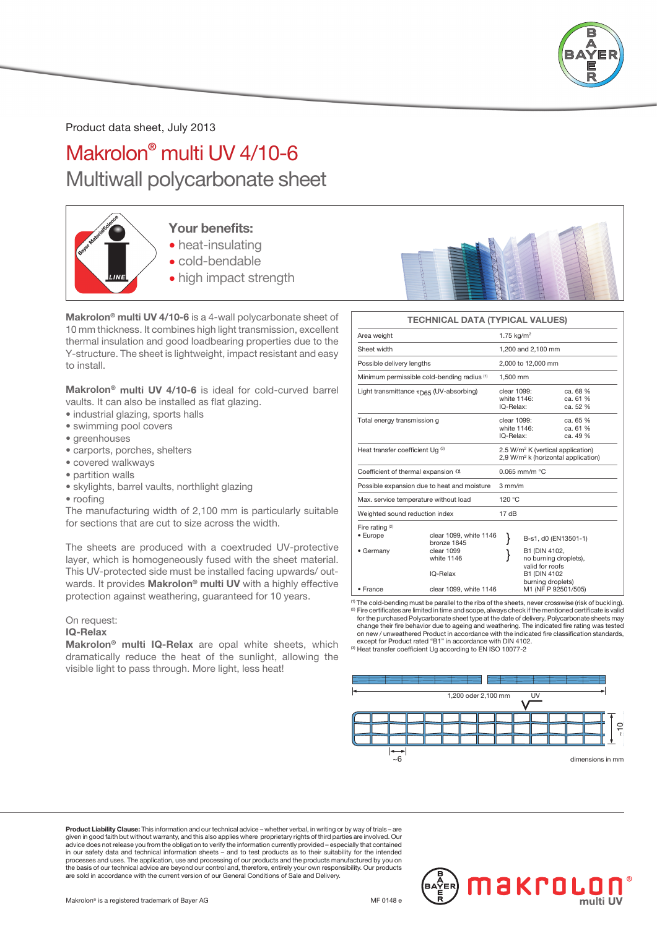

Product data sheet, July 2013

## Makrolon® multi UV 4/10-6 Multiwall polycarbonate sheet



## Your benefits:

- heat-insulating
- cold-bendable
- high impact strength

Makrolon® multi UV 4/10-6 is a 4-wall polycarbonate sheet of 10 mm thickness. It combines high light transmission, excellent thermal insulation and good loadbearing properties due to the Y-structure. The sheet is lightweight, impact resistant and easy to install.

Makrolon® multi UV 4/10-6 is ideal for cold-curved barrel vaults. It can also be installed as flat glazing.

- industrial glazing, sports halls
- swimming pool covers
- greenhouses
- carports, porches, shelters
- covered walkways
- partition walls
- skylights, barrel vaults, northlight glazing
- roofing

The manufacturing width of 2,100 mm is particularly suitable for sections that are cut to size across the width.

The sheets are produced with a coextruded UV-protective layer, which is homogeneously fused with the sheet material. This UV-protected side must be installed facing upwards/ outwards. It provides Makrolon® multi UV with a highly effective protection against weathering, guaranteed for 10 years.

### On request:

### IQ-Relax

Makrolon® multi IQ-Relax are opal white sheets, which dramatically reduce the heat of the sunlight, allowing the visible light to pass through. More light, less heat!



### TECHNICAL DATA (TYPICAL VALUES) Area weight  $1.75 \text{ kg/m}^2$ Sheet width 1,200 and 2,100 mm Possible delivery lengths 2,000 to 12,000 mm Minimum permissible cold-bending radius (1) 1,500 mm Light transmittance  $\tau_{\text{D65}}$  (UV-absorbing) clear 1099: ca. 68 %<br>white 1146: ca. 61 % white 1146: ca. 61 % IQ-Relax: ca. 52 % Total energy transmission g<br>
white 1146: ca. 65 %<br>
white 1146: ca. 61 % white 1146: ca. 61 %<br>IQ-Relax: ca. 49 % IQ-Relax: Heat transfer coefficient Ug (3) 2.5 W/m<sup>2</sup> K (vertical application)<br>2,9 W/m<sup>2</sup> k (horizontal application) Coefficient of thermal expansion  $\alpha$  0.065 mm/m °C Possible expansion due to heat and moisture 3 mm/m Max. service temperature without load 120 °C Weighted sound reduction index 17 dB Fire rating <sup>(2)</sup><br>• Europe • Europe clear 1099, white 1146 <br>
• Germany clear 1099 <br>
• Germany clear 1099 <br> **1** B1 (DIN 4102, exercise versions of the clear 1099<br>
white 1146 and the contract of the contract of the clear of the contract of the contract of the contract of the contract of the contract of the contract of the contract of the contract white 1146 **start of the UP** no burning droplets),<br>valid for roofs IQ-Relax B1 (DIN 4102 burning droplets) • France clear 1099, white 1146 M1 (NF P 92501/505)

(1) The cold-bending must be parallel to the ribs of the sheets, never crosswise (risk of buckling). (2) Fire certificates are limited in time and scope, always check if the mentioned certificate is valid for the purchased Polycarbonate sheet type at the date of delivery. Polycarbonate sheets may change their fire behavior due to ageing and weathering. The indicated fire rating was tested on new / unweathered Product in accordance with the indicated fire classification standards, except for Product rated "B1" in accordance with DIN 4102.





Product Liability Clause: This information and our technical advice – whether verbal, in writing or by way of trials given in good faith but without warranty, and this also applies where proprietary rights of third parties are involved. Our<br>advice does not release you from the obligation to verify the information currently provided – es processes and uses. The application, use and processing of our products and the products manufactured by you on<br>the basis of our technical advice are beyond our control and, therefore, entirely your own responsibility. Our